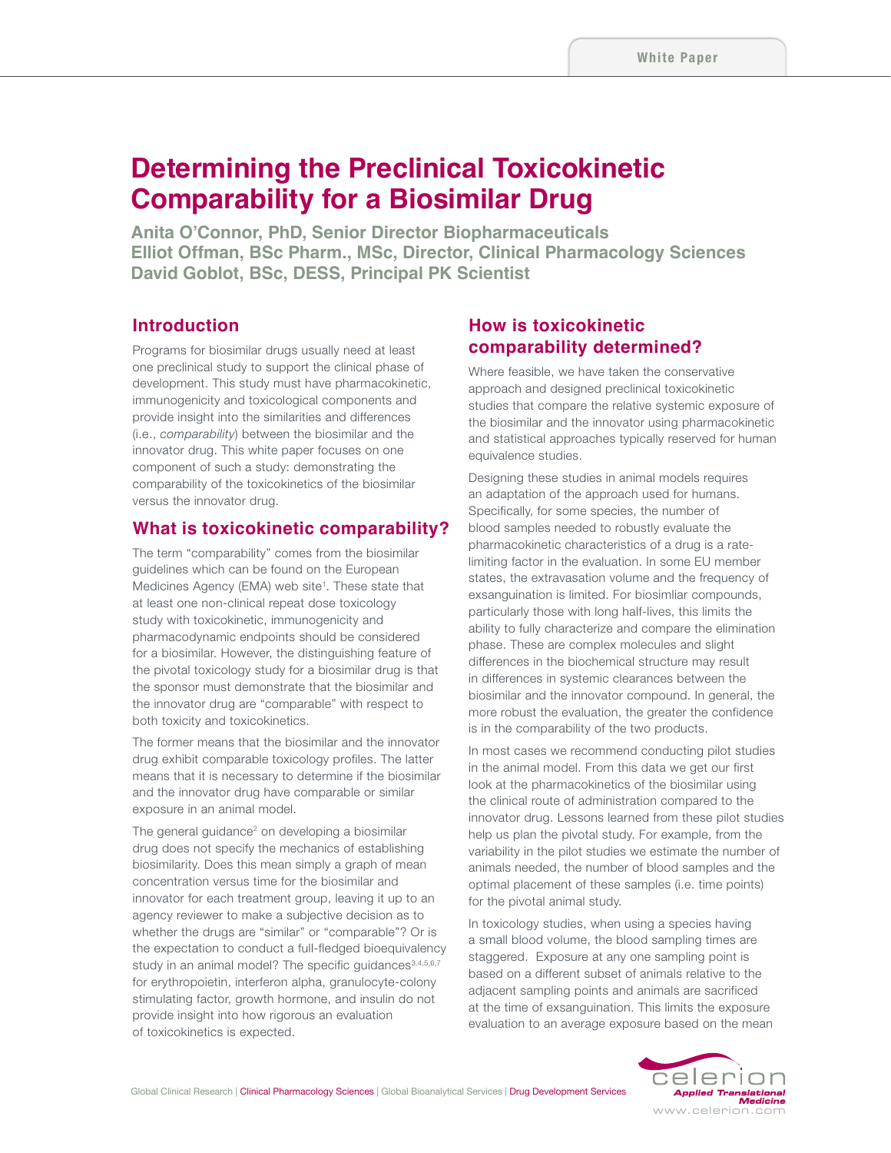# **Determining the Preclinical Toxicokinetic Comparability for a Biosimilar Drug**

**Anita O'Connor, PhD, Senior Director Biopharmaceuticals Elliot Offman, BSc Pharm., MSc, Director, Clinical Pharmacology Sciences David Goblot, BSc, DESS, Principal PK Scientist**

# **Introduction**

Programs for biosimilar drugs usually need at least one preclinical study to support the clinical phase of development. This study must have pharmacokinetic, immunogenicity and toxicological components and provide insight into the similarities and differences (i.e., *comparability*) between the biosimilar and the innovator drug. This white paper focuses on one component of such a study: demonstrating the comparability of the toxicokinetics of the biosimilar versus the innovator drug.

## **What is toxicokinetic comparability?**

The term "comparability" comes from the biosimilar guidelines which can be found on the European Medicines Agency (EMA) web site<sup>1</sup>. These state that at least one non-clinical repeat dose toxicology study with toxicokinetic, immunogenicity and pharmacodynamic endpoints should be considered for a biosimilar. However, the distinguishing feature of the pivotal toxicology study for a biosimilar drug is that the sponsor must demonstrate that the biosimilar and the innovator drug are "comparable" with respect to both toxicity and toxicokinetics.

The former means that the biosimilar and the innovator drug exhibit comparable toxicology profiles. The latter means that it is necessary to determine if the biosimilar and the innovator drug have comparable or similar exposure in an animal model.

The general quidance $2$  on developing a biosimilar drug does not specify the mechanics of establishing biosimilarity. Does this mean simply a graph of mean concentration versus time for the biosimilar and innovator for each treatment group, leaving it up to an agency reviewer to make a subjective decision as to whether the drugs are "similar" or "comparable"? Or is the expectation to conduct a full-fledged bioequivalency study in an animal model? The specific quidances<sup>3,4,5,6,7</sup> for erythropoietin, interferon alpha, granulocyte-colony stimulating factor, growth hormone, and insulin do not provide insight into how rigorous an evaluation of toxicokinetics is expected.

# **How is toxicokinetic comparability determined?**

Where feasible, we have taken the conservative approach and designed preclinical toxicokinetic studies that compare the relative systemic exposure of the biosimilar and the innovator using pharmacokinetic and statistical approaches typically reserved for human equivalence studies.

Designing these studies in animal models requires an adaptation of the approach used for humans. Specifically, for some species, the number of blood samples needed to robustly evaluate the pharmacokinetic characteristics of a drug is a ratelimiting factor in the evaluation. In some EU member states, the extravasation volume and the frequency of exsanguination is limited. For biosimliar compounds, particularly those with long half-lives, this limits the ability to fully characterize and compare the elimination phase. These are complex molecules and slight differences in the biochemical structure may result in differences in systemic clearances between the biosimilar and the innovator compound. In general, the more robust the evaluation, the greater the confidence is in the comparability of the two products.

In most cases we recommend conducting pilot studies in the animal model. From this data we get our first look at the pharmacokinetics of the biosimilar using the clinical route of administration compared to the innovator drug. Lessons learned from these pilot studies help us plan the pivotal study. For example, from the variability in the pilot studies we estimate the number of animals needed, the number of blood samples and the optimal placement of these samples (i.e. time points) for the pivotal animal study.

In toxicology studies, when using a species having a small blood volume, the blood sampling times are staggered. Exposure at any one sampling point is based on a different subset of animals relative to the adjacent sampling points and animals are sacrificed at the time of exsanguination. This limits the exposure evaluation to an average exposure based on the mean